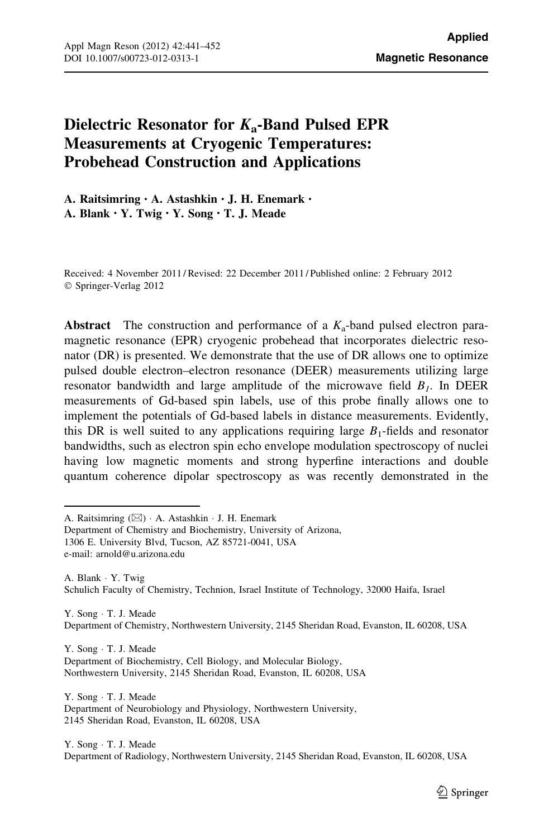# Dielectric Resonator for  $K_a$ -Band Pulsed EPR Measurements at Cryogenic Temperatures: Probehead Construction and Applications

A. Raitsimring • A. Astashkin • J. H. Enemark • A. Blank • Y. Twig • Y. Song • T. J. Meade

Received: 4 November 2011 / Revised: 22 December 2011 / Published online: 2 February 2012 © Springer-Verlag 2012

Abstract The construction and performance of a  $K_a$ -band pulsed electron paramagnetic resonance (EPR) cryogenic probehead that incorporates dielectric resonator (DR) is presented. We demonstrate that the use of DR allows one to optimize pulsed double electron–electron resonance (DEER) measurements utilizing large resonator bandwidth and large amplitude of the microwave field  $B_1$ . In DEER measurements of Gd-based spin labels, use of this probe finally allows one to implement the potentials of Gd-based labels in distance measurements. Evidently, this DR is well suited to any applications requiring large  $B_1$ -fields and resonator bandwidths, such as electron spin echo envelope modulation spectroscopy of nuclei having low magnetic moments and strong hyperfine interactions and double quantum coherence dipolar spectroscopy as was recently demonstrated in the

A. Raitsimring (&) - A. Astashkin - J. H. Enemark

1306 E. University Blvd, Tucson, AZ 85721-0041, USA

e-mail: arnold@u.arizona.edu

A. Blank - Y. Twig Schulich Faculty of Chemistry, Technion, Israel Institute of Technology, 32000 Haifa, Israel

Y. Song · T. J. Meade Department of Chemistry, Northwestern University, 2145 Sheridan Road, Evanston, IL 60208, USA

Y. Song - T. J. Meade Department of Biochemistry, Cell Biology, and Molecular Biology, Northwestern University, 2145 Sheridan Road, Evanston, IL 60208, USA

Y. Song · T. J. Meade Department of Neurobiology and Physiology, Northwestern University, 2145 Sheridan Road, Evanston, IL 60208, USA

Y. Song · T. J. Meade

Department of Radiology, Northwestern University, 2145 Sheridan Road, Evanston, IL 60208, USA

Department of Chemistry and Biochemistry, University of Arizona,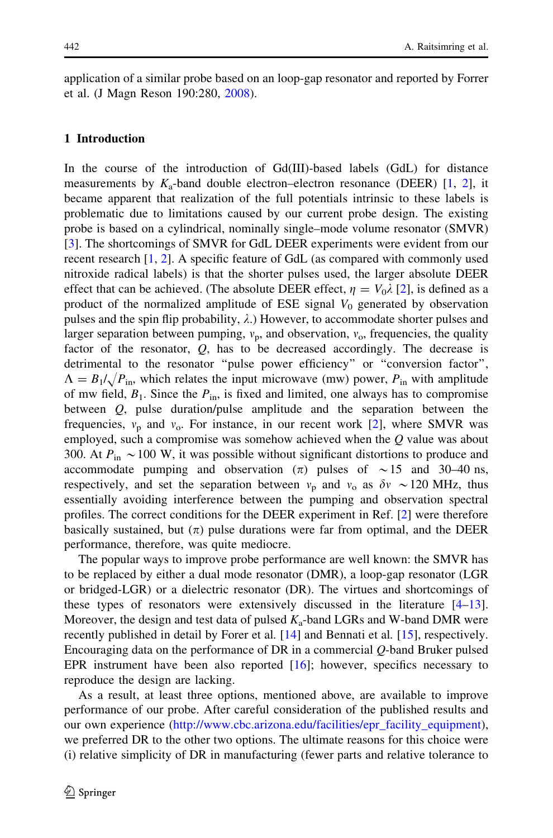application of a similar probe based on an loop-gap resonator and reported by Forrer et al. (J Magn Reson 190:280, 2008).

## 1 Introduction

In the course of the introduction of Gd(III)-based labels (GdL) for distance measurements by  $K_a$ -band double electron–electron resonance (DEER) [\[1](#page-10-0), [2](#page-10-0)], it became apparent that realization of the full potentials intrinsic to these labels is problematic due to limitations caused by our current probe design. The existing probe is based on a cylindrical, nominally single–mode volume resonator (SMVR) [\[3](#page-10-0)]. The shortcomings of SMVR for GdL DEER experiments were evident from our recent research [[1,](#page-10-0) [2\]](#page-10-0). A specific feature of GdL (as compared with commonly used nitroxide radical labels) is that the shorter pulses used, the larger absolute DEER effect that can be achieved. (The absolute DEER effect,  $\eta = V_0 \lambda$  [\[2](#page-10-0)], is defined as a product of the normalized amplitude of ESE signal  $V_0$  generated by observation pulses and the spin flip probability,  $\lambda$ .) However, to accommodate shorter pulses and larger separation between pumping,  $v_p$ , and observation,  $v_o$ , frequencies, the quality factor of the resonator,  $Q$ , has to be decreased accordingly. The decrease is detrimental to the resonator ''pulse power efficiency'' or ''conversion factor'',  $\Lambda = B_1/\sqrt{P_{\text{in}}}$ , which relates the input microwave (mw) power,  $P_{\text{in}}$  with amplitude of mw field,  $B_1$ . Since the  $P_{in}$ , is fixed and limited, one always has to compromise between Q, pulse duration/pulse amplitude and the separation between the frequencies,  $v_p$  and  $v_o$ . For instance, in our recent work [\[2](#page-10-0)], where SMVR was employed, such a compromise was somehow achieved when the  $Q$  value was about 300. At  $P_{in} \sim 100$  W, it was possible without significant distortions to produce and accommodate pumping and observation  $(\pi)$  pulses of  $\sim 15$  and 30–40 ns, respectively, and set the separation between  $v_p$  and  $v_o$  as  $\delta v \sim 120$  MHz, thus essentially avoiding interference between the pumping and observation spectral profiles. The correct conditions for the DEER experiment in Ref. [[2\]](#page-10-0) were therefore basically sustained, but  $(\pi)$  pulse durations were far from optimal, and the DEER performance, therefore, was quite mediocre.

The popular ways to improve probe performance are well known: the SMVR has to be replaced by either a dual mode resonator (DMR), a loop-gap resonator (LGR or bridged-LGR) or a dielectric resonator (DR). The virtues and shortcomings of these types of resonators were extensively discussed in the literature [[4–](#page-10-0)[13\]](#page-11-0). Moreover, the design and test data of pulsed  $K_a$ -band LGRs and W-band DMR were recently published in detail by Forer et al. [\[14](#page-11-0)] and Bennati et al. [[15\]](#page-11-0), respectively. Encouraging data on the performance of DR in a commercial Q-band Bruker pulsed EPR instrument have been also reported  $[16]$  $[16]$ ; however, specifics necessary to reproduce the design are lacking.

As a result, at least three options, mentioned above, are available to improve performance of our probe. After careful consideration of the published results and our own experience ([http://www.cbc.arizona.edu/facilities/epr\\_facility\\_equipment\)](http://www.cbc.arizona.edu/facilities/epr_facility_equipment), we preferred DR to the other two options. The ultimate reasons for this choice were (i) relative simplicity of DR in manufacturing (fewer parts and relative tolerance to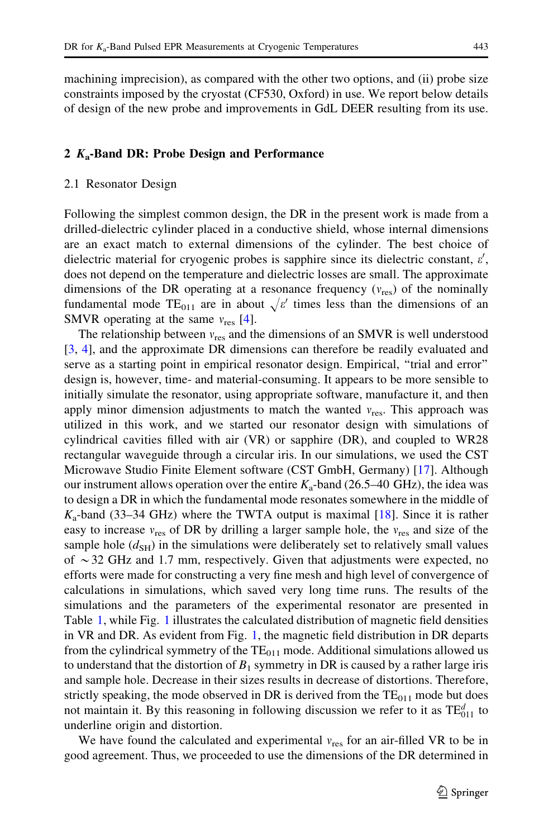machining imprecision), as compared with the other two options, and (ii) probe size constraints imposed by the cryostat (CF530, Oxford) in use. We report below details of design of the new probe and improvements in GdL DEER resulting from its use.

## 2  $K_a$ -Band DR: Probe Design and Performance

### 2.1 Resonator Design

Following the simplest common design, the DR in the present work is made from a drilled-dielectric cylinder placed in a conductive shield, whose internal dimensions are an exact match to external dimensions of the cylinder. The best choice of dielectric material for cryogenic probes is sapphire since its dielectric constant,  $\varepsilon'$ , does not depend on the temperature and dielectric losses are small. The approximate dimensions of the DR operating at a resonance frequency  $(v_{res})$  of the nominally fundamental mode TE<sub>011</sub> are in about  $\sqrt{\varepsilon'}$  times less than the dimensions of an SMVR operating at the same  $v_{res}$  [[4\]](#page-10-0).

The relationship between  $v_{res}$  and the dimensions of an SMVR is well understood [\[3](#page-10-0), [4](#page-10-0)], and the approximate DR dimensions can therefore be readily evaluated and serve as a starting point in empirical resonator design. Empirical, ''trial and error'' design is, however, time- and material-consuming. It appears to be more sensible to initially simulate the resonator, using appropriate software, manufacture it, and then apply minor dimension adjustments to match the wanted  $v_{res}$ . This approach was utilized in this work, and we started our resonator design with simulations of cylindrical cavities filled with air (VR) or sapphire (DR), and coupled to WR28 rectangular waveguide through a circular iris. In our simulations, we used the CST Microwave Studio Finite Element software (CST GmbH, Germany) [[17\]](#page-11-0). Although our instrument allows operation over the entire  $K_a$ -band (26.5–40 GHz), the idea was to design a DR in which the fundamental mode resonates somewhere in the middle of  $K_a$ -band (33–34 GHz) where the TWTA output is maximal [\[18](#page-11-0)]. Since it is rather easy to increase  $v_{res}$  of DR by drilling a larger sample hole, the  $v_{res}$  and size of the sample hole  $(d_{SH})$  in the simulations were deliberately set to relatively small values of  $\sim$  32 GHz and 1.7 mm, respectively. Given that adjustments were expected, no efforts were made for constructing a very fine mesh and high level of convergence of calculations in simulations, which saved very long time runs. The results of the simulations and the parameters of the experimental resonator are presented in Table [1](#page-3-0), while Fig. [1](#page-4-0) illustrates the calculated distribution of magnetic field densities in VR and DR. As evident from Fig. [1,](#page-4-0) the magnetic field distribution in DR departs from the cylindrical symmetry of the  $TE_{011}$  mode. Additional simulations allowed us to understand that the distortion of  $B_1$  symmetry in DR is caused by a rather large iris and sample hole. Decrease in their sizes results in decrease of distortions. Therefore, strictly speaking, the mode observed in DR is derived from the  $TE<sub>011</sub>$  mode but does not maintain it. By this reasoning in following discussion we refer to it as  $TE_{011}^d$  to underline origin and distortion.

We have found the calculated and experimental  $v_{res}$  for an air-filled VR to be in good agreement. Thus, we proceeded to use the dimensions of the DR determined in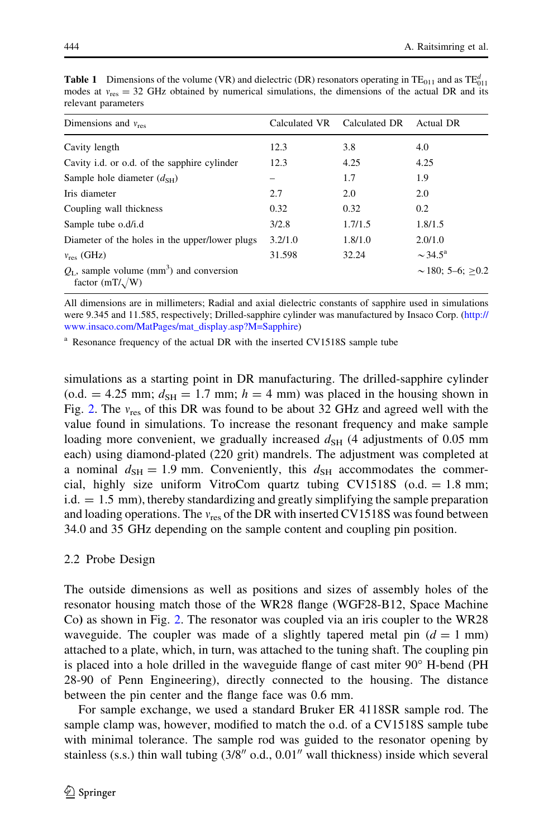| Dimensions and $v_{res}$                                                            | Calculated VR | Calculated DR | Actual DR                |
|-------------------------------------------------------------------------------------|---------------|---------------|--------------------------|
| Cavity length                                                                       | 12.3          | 3.8           | 4.0                      |
| Cavity <i>i.d.</i> or o.d. of the sapphire cylinder                                 | 12.3          | 4.25          | 4.25                     |
| Sample hole diameter $(d_{SH})$                                                     |               | 1.7           | 1.9                      |
| Iris diameter                                                                       | 2.7           | 2.0           | 2.0                      |
| Coupling wall thickness                                                             | 0.32          | 0.32          | 0.2                      |
| Sample tube o.d/i.d                                                                 | 3/2.8         | 1.7/1.5       | 1.8/1.5                  |
| Diameter of the holes in the upper/lower plugs                                      | 3.2/1.0       | 1.8/1.0       | 2.0/1.0                  |
| $v_{res}$ (GHz)                                                                     | 31.598        | 32.24         | $\sim$ 34.5 <sup>a</sup> |
| $Q_{L}$ , sample volume (mm <sup>3</sup> ) and conversion<br>factor $(mT/\sqrt{W})$ |               |               | $\sim$ 180: 5–6: $>$ 0.2 |

<span id="page-3-0"></span>**Table 1** Dimensions of the volume (VR) and dielectric (DR) resonators operating in  $TE_{011}$  and as  $TE_{011}^d$ modes at  $v_{\rm res} = 32$  GHz obtained by numerical simulations, the dimensions of the actual DR and its relevant parameters

All dimensions are in millimeters; Radial and axial dielectric constants of sapphire used in simulations were 9.345 and 11.585, respectively; Drilled-sapphire cylinder was manufactured by Insaco Corp. [\(http://](http://www.insaco.com/MatPages/mat_display.asp?M=Sapphire) [www.insaco.com/MatPages/mat\\_display.asp?M=Sapphire](http://www.insaco.com/MatPages/mat_display.asp?M=Sapphire))

<sup>a</sup> Resonance frequency of the actual DR with the inserted CV1518S sample tube

simulations as a starting point in DR manufacturing. The drilled-sapphire cylinder (o.d. = 4.25 mm;  $d_{SH} = 1.7$  mm;  $h = 4$  mm) was placed in the housing shown in Fig. [2](#page-5-0). The  $v_{res}$  of this DR was found to be about 32 GHz and agreed well with the value found in simulations. To increase the resonant frequency and make sample loading more convenient, we gradually increased  $d_{SH}$  (4 adjustments of 0.05 mm each) using diamond-plated (220 grit) mandrels. The adjustment was completed at a nominal  $d_{\text{SH}} = 1.9$  mm. Conveniently, this  $d_{\text{SH}}$  accommodates the commercial, highly size uniform VitroCom quartz tubing CV1518S ( $o.d. = 1.8$  mm;  $i.d. = 1.5$  mm), thereby standardizing and greatly simplifying the sample preparation and loading operations. The  $v_{res}$  of the DR with inserted CV1518S was found between 34.0 and 35 GHz depending on the sample content and coupling pin position.

## 2.2 Probe Design

The outside dimensions as well as positions and sizes of assembly holes of the resonator housing match those of the WR28 flange (WGF28-B12, Space Machine Co) as shown in Fig. [2.](#page-5-0) The resonator was coupled via an iris coupler to the WR28 waveguide. The coupler was made of a slightly tapered metal pin  $(d = 1$  mm) attached to a plate, which, in turn, was attached to the tuning shaft. The coupling pin is placed into a hole drilled in the waveguide flange of cast miter  $90^{\circ}$  H-bend (PH 28-90 of Penn Engineering), directly connected to the housing. The distance between the pin center and the flange face was 0.6 mm.

For sample exchange, we used a standard Bruker ER 4118SR sample rod. The sample clamp was, however, modified to match the o.d. of a CV1518S sample tube with minimal tolerance. The sample rod was guided to the resonator opening by stainless (s.s.) thin wall tubing  $(3/8'' \text{ o.d., } 0.01''$  wall thickness) inside which several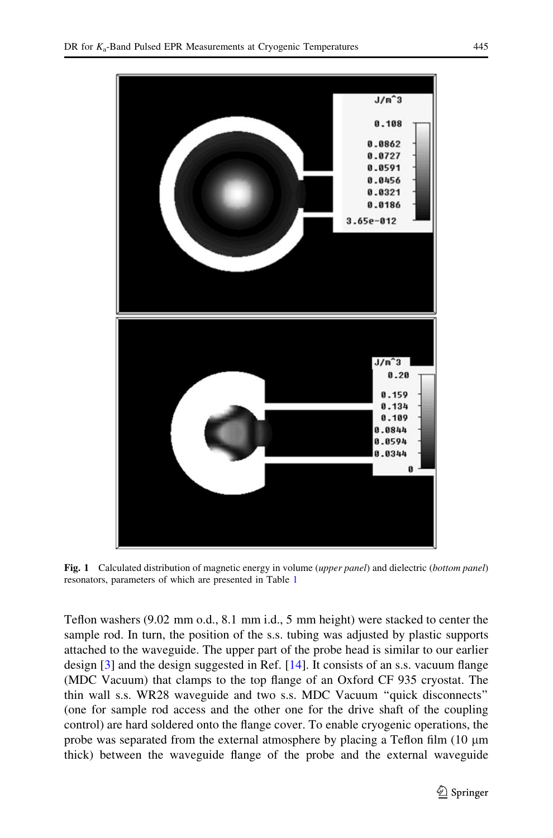<span id="page-4-0"></span>

Fig. 1 Calculated distribution of magnetic energy in volume (upper panel) and dielectric (bottom panel) resonators, parameters of which are presented in Table [1](#page-3-0)

Teflon washers (9.02 mm o.d., 8.1 mm i.d., 5 mm height) were stacked to center the sample rod. In turn, the position of the s.s. tubing was adjusted by plastic supports attached to the waveguide. The upper part of the probe head is similar to our earlier design [\[3](#page-10-0)] and the design suggested in Ref. [[14\]](#page-11-0). It consists of an s.s. vacuum flange (MDC Vacuum) that clamps to the top flange of an Oxford CF 935 cryostat. The thin wall s.s. WR28 waveguide and two s.s. MDC Vacuum ''quick disconnects'' (one for sample rod access and the other one for the drive shaft of the coupling control) are hard soldered onto the flange cover. To enable cryogenic operations, the probe was separated from the external atmosphere by placing a Teflon film  $(10 \mu m)$ thick) between the waveguide flange of the probe and the external waveguide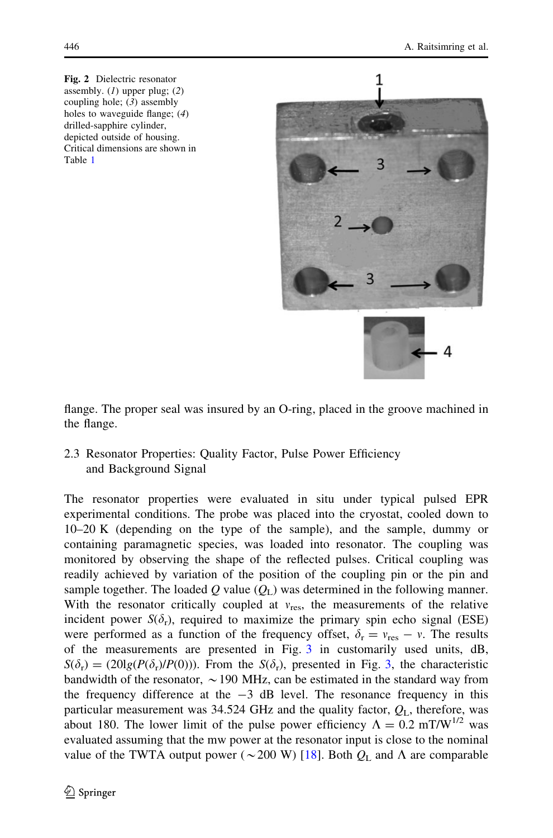<span id="page-5-0"></span>Fig. 2 Dielectric resonator assembly.  $(I)$  upper plug;  $(2)$ coupling hole;  $(3)$  assembly holes to waveguide flange; (4) drilled-sapphire cylinder, depicted outside of housing. Critical dimensions are shown in Table [1](#page-3-0)



flange. The proper seal was insured by an O-ring, placed in the groove machined in the flange.

2.3 Resonator Properties: Quality Factor, Pulse Power Efficiency and Background Signal

The resonator properties were evaluated in situ under typical pulsed EPR experimental conditions. The probe was placed into the cryostat, cooled down to 10–20 K (depending on the type of the sample), and the sample, dummy or containing paramagnetic species, was loaded into resonator. The coupling was monitored by observing the shape of the reflected pulses. Critical coupling was readily achieved by variation of the position of the coupling pin or the pin and sample together. The loaded Q value  $(Q<sub>L</sub>)$  was determined in the following manner. With the resonator critically coupled at  $v_{res}$ , the measurements of the relative incident power  $S(\delta_r)$ , required to maximize the primary spin echo signal (ESE) were performed as a function of the frequency offset,  $\delta_{\rm r} = v_{\rm res} - v$ . The results of the measurements are presented in Fig. [3](#page-6-0) in customarily used units, dB,  $S(\delta_{\rm r}) = (20\lg(P(\delta_{\rm r})/P(0)))$ . From the  $S(\delta_{\rm r})$ , presented in Fig. [3](#page-6-0), the characteristic bandwidth of the resonator,  $\sim$  190 MHz, can be estimated in the standard way from the frequency difference at the  $-3$  dB level. The resonance frequency in this particular measurement was 34.524 GHz and the quality factor,  $Q_L$ , therefore, was about 180. The lower limit of the pulse power efficiency  $\Lambda = 0.2$  mT/W<sup>1/2</sup> was evaluated assuming that the mw power at the resonator input is close to the nominal value of the TWTA output power ( $\sim$  200 W) [\[18](#page-11-0)]. Both  $Q_L$  and  $\Lambda$  are comparable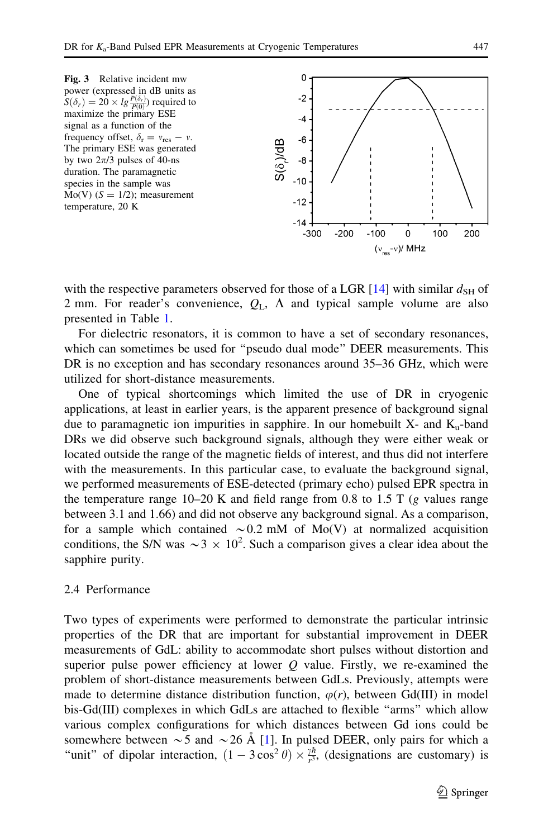<span id="page-6-0"></span>

with the respective parameters observed for those of a LGR [\[14](#page-11-0)] with similar  $d_{\rm SH}$  of 2 mm. For reader's convenience,  $Q_L$ ,  $\Lambda$  and typical sample volume are also presented in Table [1.](#page-3-0)

For dielectric resonators, it is common to have a set of secondary resonances, which can sometimes be used for ''pseudo dual mode'' DEER measurements. This DR is no exception and has secondary resonances around 35–36 GHz, which were utilized for short-distance measurements.

One of typical shortcomings which limited the use of DR in cryogenic applications, at least in earlier years, is the apparent presence of background signal due to paramagnetic ion impurities in sapphire. In our homebuilt  $X$ - and  $K_u$ -band DRs we did observe such background signals, although they were either weak or located outside the range of the magnetic fields of interest, and thus did not interfere with the measurements. In this particular case, to evaluate the background signal, we performed measurements of ESE-detected (primary echo) pulsed EPR spectra in the temperature range  $10-20$  K and field range from 0.8 to 1.5 T (g values range between 3.1 and 1.66) and did not observe any background signal. As a comparison, for a sample which contained  $\sim 0.2$  mM of Mo(V) at normalized acquisition conditions, the S/N was  $\sim$  3  $\times$  10<sup>2</sup>. Such a comparison gives a clear idea about the sapphire purity.

## 2.4 Performance

Two types of experiments were performed to demonstrate the particular intrinsic properties of the DR that are important for substantial improvement in DEER measurements of GdL: ability to accommodate short pulses without distortion and superior pulse power efficiency at lower  $Q$  value. Firstly, we re-examined the problem of short-distance measurements between GdLs. Previously, attempts were made to determine distance distribution function,  $\varphi(r)$ , between Gd(III) in model bis-Gd(III) complexes in which GdLs are attached to flexible ''arms'' which allow various complex configurations for which distances between Gd ions could be somewhere between  $\sim$  5 and  $\sim$  26 Å [[1\]](#page-10-0). In pulsed DEER, only pairs for which a "unit" of dipolar interaction,  $(1 - 3\cos^2\theta) \times \frac{\partial^{\pi}}{\partial x^3}$ , (designations are customary) is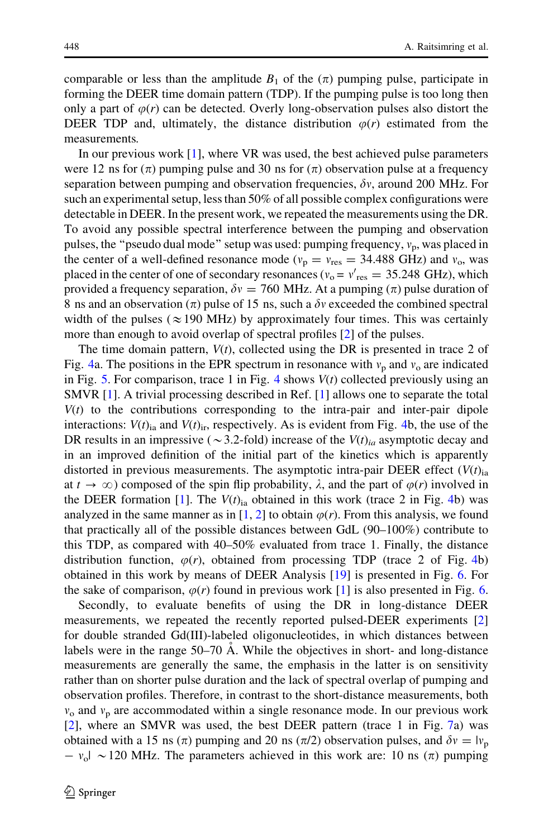comparable or less than the amplitude  $B_1$  of the  $(\pi)$  pumping pulse, participate in forming the DEER time domain pattern (TDP). If the pumping pulse is too long then only a part of  $\varphi(r)$  can be detected. Overly long-observation pulses also distort the DEER TDP and, ultimately, the distance distribution  $\varphi(r)$  estimated from the measurements.

In our previous work [[1\]](#page-10-0), where VR was used, the best achieved pulse parameters were 12 ns for  $(\pi)$  pumping pulse and 30 ns for  $(\pi)$  observation pulse at a frequency separation between pumping and observation frequencies,  $\delta v$ , around 200 MHz. For such an experimental setup, less than 50% of all possible complex configurations were detectable in DEER. In the present work, we repeated the measurements using the DR. To avoid any possible spectral interference between the pumping and observation pulses, the "pseudo dual mode" setup was used: pumping frequency,  $v_n$ , was placed in the center of a well-defined resonance mode ( $v_p = v_{res} = 34.488$  GHz) and  $v_o$ , was placed in the center of one of secondary resonances ( $v_o = v'_{res} = 35.248 \text{ GHz}$ ), which provided a frequency separation,  $\delta y = 760$  MHz. At a pumping ( $\pi$ ) pulse duration of 8 ns and an observation  $(\pi)$  pulse of 15 ns, such a  $\delta v$  exceeded the combined spectral width of the pulses ( $\approx$ 190 MHz) by approximately four times. This was certainly more than enough to avoid overlap of spectral profiles [[2\]](#page-10-0) of the pulses.

The time domain pattern,  $V(t)$ , collected using the DR is presented in trace 2 of Fig. [4](#page-8-0)a. The positions in the EPR spectrum in resonance with  $v_p$  and  $v_o$  are indicated in Fig. [5](#page-8-0). For comparison, trace 1 in Fig. [4](#page-8-0) shows  $V(t)$  collected previously using an SMVR [\[1](#page-10-0)]. A trivial processing described in Ref. [[1\]](#page-10-0) allows one to separate the total  $V(t)$  to the contributions corresponding to the intra-pair and inter-pair dipole interactions:  $V(t)_{ia}$  and  $V(t)_{ir}$ , respectively. As is evident from Fig. [4](#page-8-0)b, the use of the DR results in an impressive ( $\sim$  3.2-fold) increase of the  $V(t)_{ia}$  asymptotic decay and in an improved definition of the initial part of the kinetics which is apparently distorted in previous measurements. The asymptotic intra-pair DEER effect  $(V(t)<sub>ia</sub>)$ at  $t \to \infty$ ) composed of the spin flip probability,  $\lambda$ , and the part of  $\varphi(r)$  involved in the DEER formation [\[1](#page-10-0)]. The  $V(t)_{ia}$  obtained in this work (trace 2 in Fig. [4](#page-8-0)b) was analyzed in the same manner as in [\[1](#page-10-0), [2](#page-10-0)] to obtain  $\varphi(r)$ . From this analysis, we found that practically all of the possible distances between GdL (90–100%) contribute to this TDP, as compared with 40–50% evaluated from trace 1. Finally, the distance distribution function,  $\varphi(r)$ , obtained from processing TDP (trace 2 of Fig. [4](#page-8-0)b) obtained in this work by means of DEER Analysis [[19\]](#page-11-0) is presented in Fig. [6.](#page-9-0) For the sake of comparison,  $\varphi(r)$  found in previous work [\[1](#page-10-0)] is also presented in Fig. [6.](#page-9-0)

Secondly, to evaluate benefits of using the DR in long-distance DEER measurements, we repeated the recently reported pulsed-DEER experiments [\[2](#page-10-0)] for double stranded Gd(III)-labeled oligonucleotides, in which distances between labels were in the range 50–70 A. While the objectives in short- and long-distance measurements are generally the same, the emphasis in the latter is on sensitivity rather than on shorter pulse duration and the lack of spectral overlap of pumping and observation profiles. Therefore, in contrast to the short-distance measurements, both  $v<sub>o</sub>$  and  $v<sub>p</sub>$  are accommodated within a single resonance mode. In our previous work [\[2](#page-10-0)], where an SMVR was used, the best DEER pattern (trace 1 in Fig. [7a](#page-9-0)) was obtained with a 15 ns ( $\pi$ ) pumping and 20 ns ( $\pi$ /2) observation pulses, and  $\delta v = |v_p|$  $- v_0$  ~ 120 MHz. The parameters achieved in this work are: 10 ns ( $\pi$ ) pumping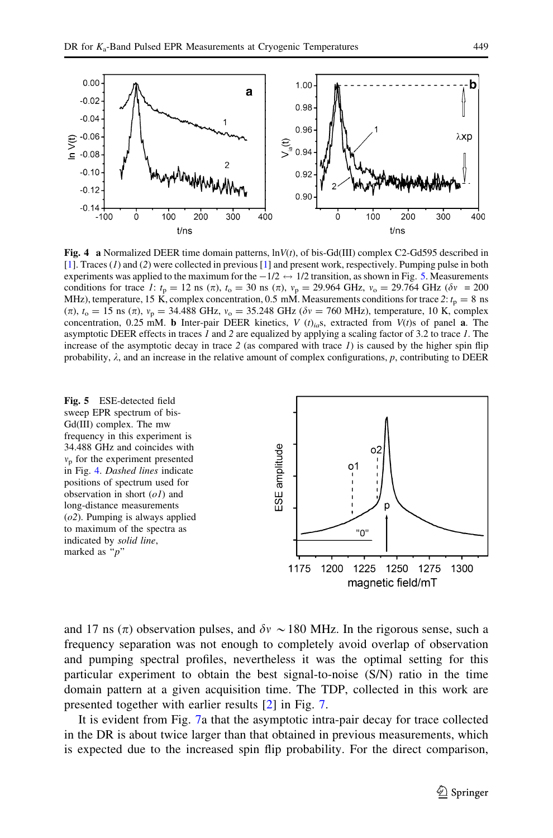<span id="page-8-0"></span>

**Fig. 4** a Normalized DEER time domain patterns,  $\ln V(t)$ , of bis-Gd(III) complex C2-Gd595 described in [[1\]](#page-10-0). Traces (1) and (2) were collected in previous [\[1](#page-10-0)] and present work, respectively. Pumping pulse in both experiments was applied to the maximum for the  $-1/2 \leftrightarrow 1/2$  transition, as shown in Fig. 5. Measurements conditions for trace 1:  $t_p = 12$  ns ( $\pi$ ),  $t_o = 30$  ns ( $\pi$ ),  $v_p = 29.964$  GHz,  $v_o = 29.764$  GHz ( $\delta v = 200$ MHz), temperature, 15 K, complex concentration, 0.5 mM. Measurements conditions for trace 2:  $t_p = 8$  ns  $(\pi)$ ,  $t_0 = 15$  ns  $(\pi)$ ,  $v_p = 34.488$  GHz,  $v_o = 35.248$  GHz ( $\delta v = 760$  MHz), temperature, 10 K, complex concentration, 0.25 mM. b Inter-pair DEER kinetics,  $V(t)_{ia}$ s, extracted from  $V(t)$ s of panel a. The asymptotic DEER effects in traces 1 and 2 are equalized by applying a scaling factor of 3.2 to trace 1. The increase of the asymptotic decay in trace 2 (as compared with trace  $I$ ) is caused by the higher spin flip probability,  $\lambda$ , and an increase in the relative amount of complex configurations, p, contributing to DEER



and 17 ns ( $\pi$ ) observation pulses, and  $\delta v \sim 180$  MHz. In the rigorous sense, such a frequency separation was not enough to completely avoid overlap of observation and pumping spectral profiles, nevertheless it was the optimal setting for this particular experiment to obtain the best signal-to-noise (S/N) ratio in the time domain pattern at a given acquisition time. The TDP, collected in this work are presented together with earlier results [[2\]](#page-10-0) in Fig. [7.](#page-9-0)

It is evident from Fig. [7](#page-9-0)a that the asymptotic intra-pair decay for trace collected in the DR is about twice larger than that obtained in previous measurements, which is expected due to the increased spin flip probability. For the direct comparison,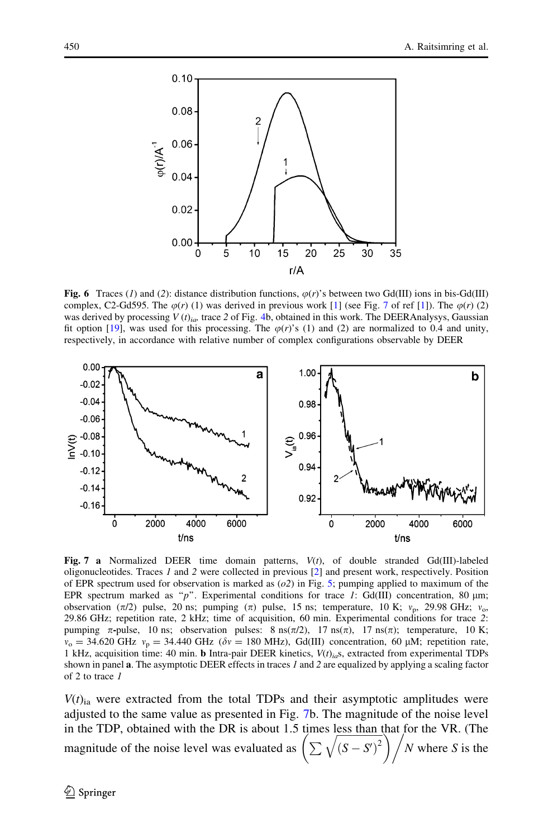<span id="page-9-0"></span>

Fig. 6 Traces (1) and (2): distance distribution functions,  $\varphi(r)$ 's between two Gd(III) ions in bis-Gd(III) complex, C2-Gd595. The  $\varphi(r)$  (1) was derived in previous work [\[1](#page-10-0)] (see Fig. 7 of ref [1]). The  $\varphi(r)$  (2) was derived by processing  $V(t)_{ia}$ , trace 2 of Fig. [4](#page-8-0)b, obtained in this work. The DEERAnalysys, Gaussian fit option [\[19](#page-11-0)], was used for this processing. The  $\varphi(r)$ 's (1) and (2) are normalized to 0.4 and unity, respectively, in accordance with relative number of complex configurations observable by DEER



Fig. 7 a Normalized DEER time domain patterns,  $V(t)$ , of double stranded Gd(III)-labeled oligonucleotides. Traces 1 and 2 were collected in previous [[2\]](#page-10-0) and present work, respectively. Position of EPR spectrum used for observation is marked as  $(o2)$  in Fig. [5](#page-8-0); pumping applied to maximum of the EPR spectrum marked as "p". Experimental conditions for trace 1: Gd(III) concentration, 80  $\mu$ m; observation  $(\pi/2)$  pulse, 20 ns; pumping  $(\pi)$  pulse, 15 ns; temperature, 10 K;  $v_p$ , 29.98 GHz;  $v_p$ , 29.86 GHz; repetition rate, 2 kHz; time of acquisition, 60 min. Experimental conditions for trace 2: pumping  $\pi$ -pulse, 10 ns; observation pulses: 8 ns( $\pi/2$ ), 17 ns( $\pi$ ), 17 ns( $\pi$ ); temperature, 10 K;  $v_0 = 34.620 \text{ GHz } v_p = 34.440 \text{ GHz } (\delta v = 180 \text{ MHz})$ , Gd(III) concentration, 60 µM; repetition rate, 1 kHz, acquisition time: 40 min. **b** Intra-pair DEER kinetics,  $V(t)_{io}$ s, extracted from experimental TDPs shown in panel  $\bf{a}$ . The asymptotic DEER effects in traces 1 and 2 are equalized by applying a scaling factor of 2 to trace 1

 $V(t)_{ia}$  were extracted from the total TDPs and their asymptotic amplitudes were adjusted to the same value as presented in Fig. 7b. The magnitude of the noise level in the TDP, obtained with the DR is about 1.5 times less than that for the VR. (The m die 1Dr, obtained with the DR is about 1.5 thies less than that for the VK. (The magnitude of the noise level was evaluated as  $\left(\sum \sqrt{(S - S')^2}\right) / N$  where S is the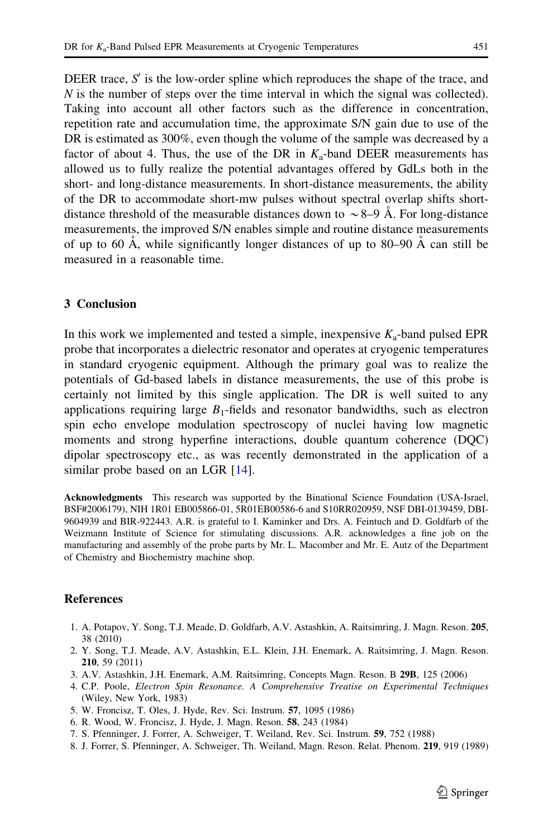<span id="page-10-0"></span>DEER trace,  $S'$  is the low-order spline which reproduces the shape of the trace, and  $N$  is the number of steps over the time interval in which the signal was collected). Taking into account all other factors such as the difference in concentration, repetition rate and accumulation time, the approximate S/N gain due to use of the DR is estimated as 300%, even though the volume of the sample was decreased by a factor of about 4. Thus, the use of the DR in  $K_a$ -band DEER measurements has allowed us to fully realize the potential advantages offered by GdLs both in the short- and long-distance measurements. In short-distance measurements, the ability of the DR to accommodate short-mw pulses without spectral overlap shifts shortdistance threshold of the measurable distances down to  $\sim$  8–9 Å. For long-distance measurements, the improved S/N enables simple and routine distance measurements of up to 60  $\AA$ , while significantly longer distances of up to 80–90  $\AA$  can still be measured in a reasonable time.

## 3 Conclusion

In this work we implemented and tested a simple, inexpensive  $K_a$ -band pulsed EPR probe that incorporates a dielectric resonator and operates at cryogenic temperatures in standard cryogenic equipment. Although the primary goal was to realize the potentials of Gd-based labels in distance measurements, the use of this probe is certainly not limited by this single application. The DR is well suited to any applications requiring large  $B_1$ -fields and resonator bandwidths, such as electron spin echo envelope modulation spectroscopy of nuclei having low magnetic moments and strong hyperfine interactions, double quantum coherence (DQC) dipolar spectroscopy etc., as was recently demonstrated in the application of a similar probe based on an LGR [\[14](#page-11-0)].

Acknowledgments This research was supported by the Binational Science Foundation (USA-Israel, BSF#2006179), NIH 1R01 EB005866-01, 5R01EB00586-6 and S10RR020959, NSF DBI-0139459, DBI-9604939 and BIR-922443. A.R. is grateful to I. Kaminker and Drs. A. Feintuch and D. Goldfarb of the Weizmann Institute of Science for stimulating discussions. A.R. acknowledges a fine job on the manufacturing and assembly of the probe parts by Mr. L. Macomber and Mr. E. Autz of the Department of Chemistry and Biochemistry machine shop.

## References

- 1. A. Potapov, Y. Song, T.J. Meade, D. Goldfarb, A.V. Astashkin, A. Raitsimring, J. Magn. Reson. 205, 38 (2010)
- 2. Y. Song, T.J. Meade, A.V. Astashkin, E.L. Klein, J.H. Enemark, A. Raitsimring, J. Magn. Reson. 210, 59 (2011)
- 3. A.V. Astashkin, J.H. Enemark, A.M. Raitsimring, Concepts Magn. Reson. B 29B, 125 (2006)
- 4. C.P. Poole, Electron Spin Resonance. A Comprehensive Treatise on Experimental Techniques (Wiley, New York, 1983)
- 5. W. Froncisz, T. Oles, J. Hyde, Rev. Sci. Instrum. 57, 1095 (1986)
- 6. R. Wood, W. Froncisz, J. Hyde, J. Magn. Reson. 58, 243 (1984)
- 7. S. Pfenninger, J. Forrer, A. Schweiger, T. Weiland, Rev. Sci. Instrum. 59, 752 (1988)
- 8. J. Forrer, S. Pfenninger, A. Schweiger, Th. Weiland, Magn. Reson. Relat. Phenom. 219, 919 (1989)